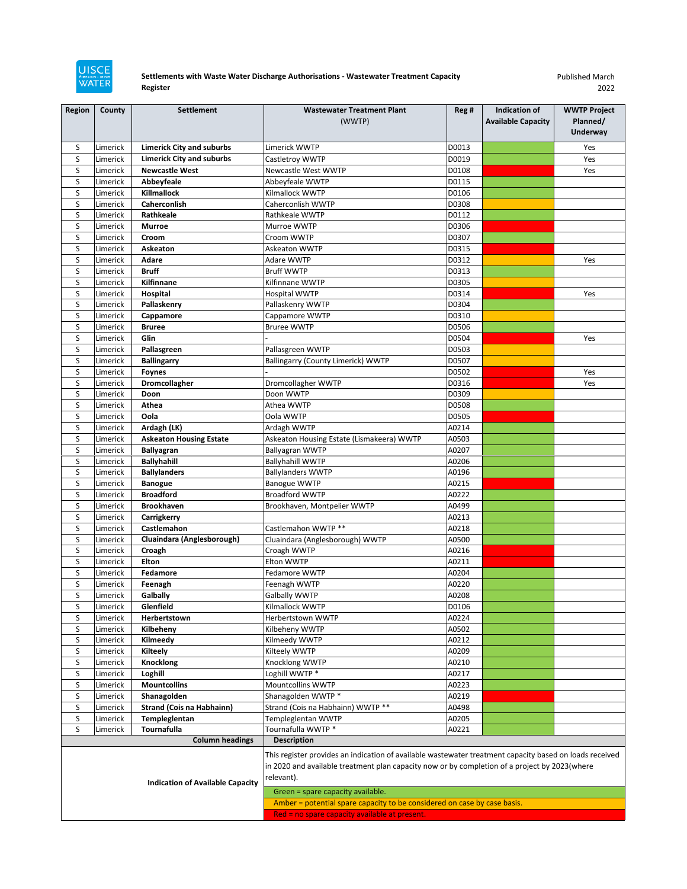

## **Settlements with Waste Water Discharge Authorisations - Wastewater Treatment Capacity Register**

Published March 2022

| <b>Region</b>                           | County               | <b>Settlement</b>                                   | <b>Wastewater Treatment Plant</b>                                                                                                                                                                                      | Reg #          | <b>Indication of</b>      | <b>WWTP Project</b> |
|-----------------------------------------|----------------------|-----------------------------------------------------|------------------------------------------------------------------------------------------------------------------------------------------------------------------------------------------------------------------------|----------------|---------------------------|---------------------|
|                                         |                      |                                                     | (WWTP)                                                                                                                                                                                                                 |                | <b>Available Capacity</b> | Planned/            |
|                                         |                      |                                                     |                                                                                                                                                                                                                        |                |                           | <b>Underway</b>     |
| S                                       | Limerick             | <b>Limerick City and suburbs</b>                    | Limerick WWTP                                                                                                                                                                                                          | D0013          |                           | Yes                 |
| S                                       | Limerick             | <b>Limerick City and suburbs</b>                    | Castletroy WWTP                                                                                                                                                                                                        | D0019          |                           | Yes                 |
| S                                       | Limerick             | <b>Newcastle West</b>                               | Newcastle West WWTP                                                                                                                                                                                                    | D0108          |                           | Yes                 |
| S                                       | Limerick             | Abbeyfeale                                          | Abbeyfeale WWTP                                                                                                                                                                                                        | D0115          |                           |                     |
| S                                       | Limerick             | Killmallock                                         | Kilmallock WWTP                                                                                                                                                                                                        | D0106          |                           |                     |
| S                                       | Limerick             | Caherconlish                                        | Caherconlish WWTP                                                                                                                                                                                                      | D0308          |                           |                     |
| S                                       | Limerick             | Rathkeale                                           | Rathkeale WWTP                                                                                                                                                                                                         | D0112          |                           |                     |
| $\sf S$                                 | Limerick             | <b>Murroe</b>                                       | Murroe WWTP                                                                                                                                                                                                            | D0306          |                           |                     |
| S                                       | Limerick             | Croom                                               | Croom WWTP                                                                                                                                                                                                             | D0307          |                           |                     |
| S<br>S                                  | Limerick<br>Limerick | Askeaton<br>Adare                                   | Askeaton WWTP<br>Adare WWTP                                                                                                                                                                                            | D0315<br>D0312 |                           | Yes                 |
| S                                       | Limerick             | <b>Bruff</b>                                        | <b>Bruff WWTP</b>                                                                                                                                                                                                      | D0313          |                           |                     |
| S                                       | Limerick             | Kilfinnane                                          | Kilfinnane WWTP                                                                                                                                                                                                        | D0305          |                           |                     |
| S                                       | Limerick             | Hospital                                            | <b>Hospital WWTP</b>                                                                                                                                                                                                   | D0314          |                           | Yes                 |
| S                                       | Limerick             | Pallaskenry                                         | Pallaskenry WWTP                                                                                                                                                                                                       | D0304          |                           |                     |
| S                                       | Limerick             | Cappamore                                           | Cappamore WWTP                                                                                                                                                                                                         | D0310          |                           |                     |
| S                                       | Limerick             | <b>Bruree</b>                                       | <b>Bruree WWTP</b>                                                                                                                                                                                                     | D0506          |                           |                     |
| S                                       | Limerick             | Glin                                                |                                                                                                                                                                                                                        | D0504          |                           | Yes                 |
| S                                       | Limerick             | Pallasgreen                                         | Pallasgreen WWTP                                                                                                                                                                                                       | D0503          |                           |                     |
| S                                       | Limerick             | <b>Ballingarry</b>                                  | <b>Ballingarry (County Limerick) WWTP</b>                                                                                                                                                                              | D0507          |                           |                     |
| S                                       | Limerick             | <b>Foynes</b>                                       |                                                                                                                                                                                                                        | D0502          |                           | Yes                 |
| S                                       | Limerick             | Dromcollagher                                       | Dromcollagher WWTP                                                                                                                                                                                                     | D0316          |                           | Yes                 |
| S                                       | Limerick             | Doon                                                | Doon WWTP                                                                                                                                                                                                              | D0309          |                           |                     |
| S                                       | Limerick             | Athea                                               | Athea WWTP                                                                                                                                                                                                             | D0508          |                           |                     |
| S                                       | Limerick             | Oola                                                | Oola WWTP                                                                                                                                                                                                              | D0505          |                           |                     |
| S<br>S                                  | Limerick             | Ardagh (LK)                                         | Ardagh WWTP                                                                                                                                                                                                            | A0214          |                           |                     |
| S                                       | Limerick<br>Limerick | <b>Askeaton Housing Estate</b><br><b>Ballyagran</b> | Askeaton Housing Estate (Lismakeera) WWTP<br><b>Ballyagran WWTP</b>                                                                                                                                                    | A0503<br>A0207 |                           |                     |
| S                                       | Limerick             | <b>Ballyhahill</b>                                  | <b>Ballyhahill WWTP</b>                                                                                                                                                                                                | A0206          |                           |                     |
| S                                       | Limerick             | <b>Ballylanders</b>                                 | <b>Ballylanders WWTP</b>                                                                                                                                                                                               | A0196          |                           |                     |
| S                                       | Limerick             | <b>Banogue</b>                                      | <b>Banogue WWTP</b>                                                                                                                                                                                                    | A0215          |                           |                     |
| S                                       | Limerick             | <b>Broadford</b>                                    | <b>Broadford WWTP</b>                                                                                                                                                                                                  | A0222          |                           |                     |
| S                                       | Limerick             | <b>Brookhaven</b>                                   | Brookhaven, Montpelier WWTP                                                                                                                                                                                            | A0499          |                           |                     |
| S                                       | Limerick             | Carrigkerry                                         |                                                                                                                                                                                                                        | A0213          |                           |                     |
| S                                       | Limerick             | Castlemahon                                         | Castlemahon WWTP **                                                                                                                                                                                                    | A0218          |                           |                     |
| $\sf S$                                 | Limerick             | Cluaindara (Anglesborough)                          | Cluaindara (Anglesborough) WWTP                                                                                                                                                                                        | A0500          |                           |                     |
| S                                       | Limerick             | Croagh                                              | Croagh WWTP                                                                                                                                                                                                            | A0216          |                           |                     |
| S<br>S                                  | Limerick<br>Limerick | Elton<br>Fedamore                                   | Elton WWTP<br><b>Fedamore WWTP</b>                                                                                                                                                                                     | A0211<br>A0204 |                           |                     |
| S                                       | Limerick             | Feenagh                                             | Feenagh WWTP                                                                                                                                                                                                           | A0220          |                           |                     |
| S                                       | Limerick             | Galbally                                            | Galbally WWTP                                                                                                                                                                                                          | A0208          |                           |                     |
| S                                       | Limerick             | Glenfield                                           | Kilmallock WWTP                                                                                                                                                                                                        | D0106          |                           |                     |
| S                                       | Limerick             | Herbertstown                                        | Herbertstown WWTP                                                                                                                                                                                                      | A0224          |                           |                     |
| S                                       | Limerick             | Kilbeheny                                           | Kilbeheny WWTP                                                                                                                                                                                                         | A0502          |                           |                     |
| $\sf S$                                 | Limerick             | Kilmeedy                                            | Kilmeedy WWTP                                                                                                                                                                                                          | A0212          |                           |                     |
| $\sf S$                                 | Limerick             | Kilteely                                            | Kilteely WWTP                                                                                                                                                                                                          | A0209          |                           |                     |
| S                                       | Limerick             | Knocklong                                           | Knocklong WWTP                                                                                                                                                                                                         | A0210          |                           |                     |
| S                                       | Limerick             | Loghill                                             | Loghill WWTP *                                                                                                                                                                                                         | A0217          |                           |                     |
| S                                       | Limerick             | <b>Mountcollins</b>                                 | Mountcollins WWTP                                                                                                                                                                                                      | A0223          |                           |                     |
| S<br>S                                  | Limerick             | Shanagolden                                         | Shanagolden WWTP *<br>Strand (Cois na Habhainn) WWTP **                                                                                                                                                                | A0219          |                           |                     |
| $\sf S$                                 | Limerick<br>Limerick | Strand (Cois na Habhainn)<br>Templeglentan          | Templeglentan WWTP                                                                                                                                                                                                     | A0498<br>A0205 |                           |                     |
| $\sf S$                                 | Limerick             | Tournafulla                                         | Tournafulla WWTP *                                                                                                                                                                                                     | A0221          |                           |                     |
|                                         |                      | <b>Column headings</b>                              | <b>Description</b>                                                                                                                                                                                                     |                |                           |                     |
|                                         |                      |                                                     | This register provides an indication of available wastewater treatment capacity based on loads received<br>in 2020 and available treatment plan capacity now or by completion of a project by 2023(where<br>relevant). |                |                           |                     |
| <b>Indication of Available Capacity</b> |                      |                                                     | Green = spare capacity available.                                                                                                                                                                                      |                |                           |                     |
|                                         |                      |                                                     | Amber = potential spare capacity to be considered on case by case basis.                                                                                                                                               |                |                           |                     |
|                                         |                      |                                                     | Red = no spare capacity available at present.                                                                                                                                                                          |                |                           |                     |